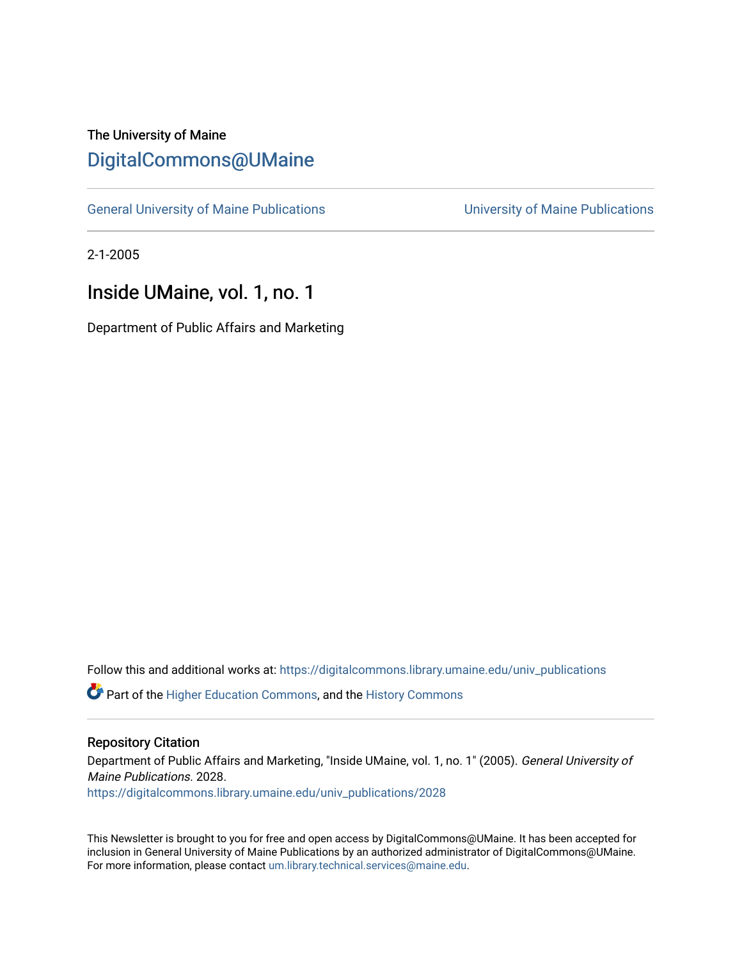### The University of Maine [DigitalCommons@UMaine](https://digitalcommons.library.umaine.edu/)

[General University of Maine Publications](https://digitalcommons.library.umaine.edu/univ_publications) [University of Maine Publications](https://digitalcommons.library.umaine.edu/umaine_publications) 

2-1-2005

### Inside UMaine, vol. 1, no. 1

Department of Public Affairs and Marketing

Follow this and additional works at: [https://digitalcommons.library.umaine.edu/univ\\_publications](https://digitalcommons.library.umaine.edu/univ_publications?utm_source=digitalcommons.library.umaine.edu%2Funiv_publications%2F2028&utm_medium=PDF&utm_campaign=PDFCoverPages) 

**C** Part of the [Higher Education Commons,](http://network.bepress.com/hgg/discipline/1245?utm_source=digitalcommons.library.umaine.edu%2Funiv_publications%2F2028&utm_medium=PDF&utm_campaign=PDFCoverPages) and the [History Commons](http://network.bepress.com/hgg/discipline/489?utm_source=digitalcommons.library.umaine.edu%2Funiv_publications%2F2028&utm_medium=PDF&utm_campaign=PDFCoverPages)

#### Repository Citation

Department of Public Affairs and Marketing, "Inside UMaine, vol. 1, no. 1" (2005). General University of Maine Publications. 2028.

[https://digitalcommons.library.umaine.edu/univ\\_publications/2028](https://digitalcommons.library.umaine.edu/univ_publications/2028?utm_source=digitalcommons.library.umaine.edu%2Funiv_publications%2F2028&utm_medium=PDF&utm_campaign=PDFCoverPages)

This Newsletter is brought to you for free and open access by DigitalCommons@UMaine. It has been accepted for inclusion in General University of Maine Publications by an authorized administrator of DigitalCommons@UMaine. For more information, please contact [um.library.technical.services@maine.edu](mailto:um.library.technical.services@maine.edu).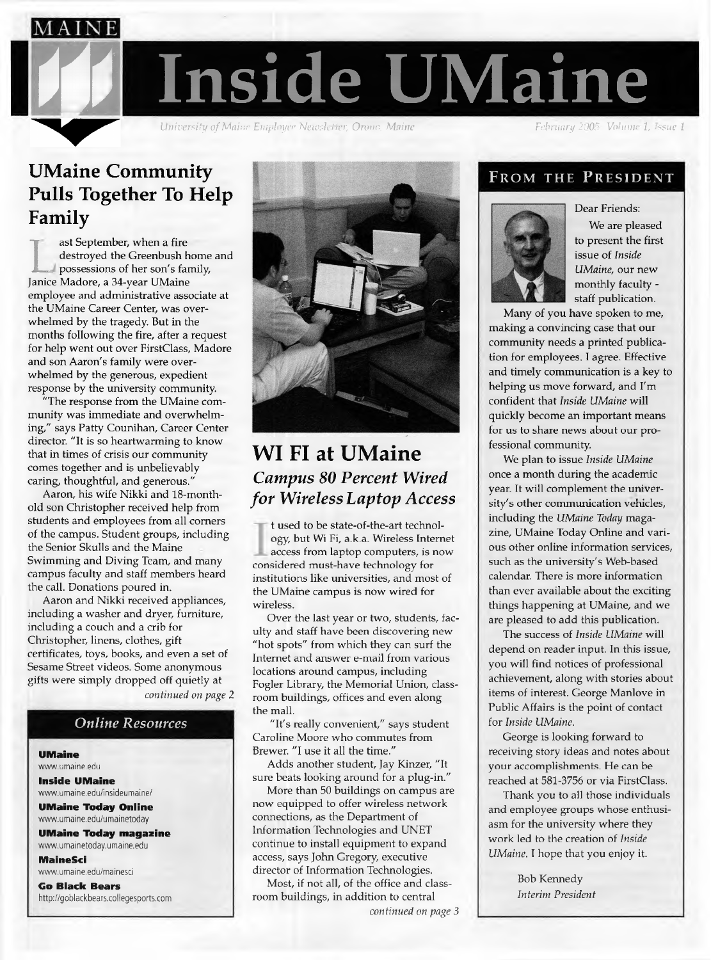

*University of Maine Employee Newsletter*, *Orono*, *Maine* 

## **UMaine Community Pulls Together To Help Family**

destroyed the Greenbush home a<br>possessions of her son's family,<br>Janice Madore, a 34-year UMaine ast September, when a fire destroyed the Greenbush home and possessions of her son's family, employee and administrative associate at the UMaine Career Center, was overwhelmed by the tragedy. But in the months following the fire, after a request for help went out over FirstClass, Madore and son Aaron's family were overwhelmed by the generous, expedient response by the university community.

"The response from the UMaine community was immediate and overwhelming," says Patty Counihan, Career Center director. "It is so heartwarming to know that in times of crisis our community comes together and is unbelievably caring, thoughtful, and generous."

Aaron, his wife Nikki and 18-monthold son Christopher received help from students and employees from all corners of the campus. Student groups, including the Senior Skulls and the Maine Swimming and Diving Team, and many campus faculty and staff members heard the call. Donations poured in.

Aaron and Nikki received appliances, including a washer and dryer, furniture, including a couch and a crib for Christopher, linens, clothes, gift certificates, toys, books, and even a set of Sesame Street Videos. Some anonymous gifts were simply dropped off quietly at

*continued on page 2*

#### *Online Resources*

#### **UMaine**

[www.umaine.edu](http://www.umaine.edu) **Inside UMaine**

[www.umaine.edu/insideumaine/](http://www.umaine.edu/insideumaine/)

**UMaine Today Online** [www.umaine.edu/umainetoday](http://www.umaine.edu/umainetoday)

**UMaine Today magazine** [www.umainetoday.umaine.edu](http://www.umainetoday.umaine.edu)

**MaineSci**

[www.umaine.edu/mainesci](http://www.umaine.edu/mainesci) **Go Black Bears**

<http://goblackbears.collegesports.com>



### **WI FI at UMaine** *Campus 80 Percent Wired for Wireless Laptop Access*

t used to be state-of-the-art technology, but Wi Fi, a.k.a. Wireless Internet access from laptop computers, is now considered must-have technology for institutions like universities, and most of the UMaine campus is now wired for wireless.

Over the last year or two, students, faculty and staff have been discovering new "hot spots" from which they can surf the Internet and answer e-mail from various locations around campus, including Fogler Library, the Memorial Union, classroom buildings, Offices and even along the mall.

"It's really convenient," says student Caroline Moore who commutes from Brewer. "I use it all the time."

Adds another student, Jay Kinzer, "It sure beats looking around for a plug-in."

More than 50 buildings on campus are now equipped to offer wireless network connections, as the Department of Information Technologies and UNET continue to install equipment to expand access, says John Gregory, executive director of Information Technologies.

Most, if not all, of the office and classroom buildings, in addition to central

### From the President



We are pleased to present the first issue of *Inside UMaine,* our new monthly faculty staff publication.

Many of you have spoken to me, making a convincing case that our community needs a printed publication for employees. I agree. Effective and timely communication is a key to helping us move forward, and I'm confident that *Inside UMaine* will quickly become an important means for us to share news about our professional community.

We plan to issue *Inside UMaine* once a month during the academic year. It will complement the university's other communication vehicles, including the *UMaine Today* magazine, UMaine Today Online and various other online information services, such as the university's Web-based calendar. There is more information than ever available about the exciting things happening at UMaine, and we are pleased to add this publication.

The success of *Inside UMaine* will depend on reader input. In this issue, you will find notices of professional achievement, along with stories about items of interest. George Manlove in Public Affairs is the point of contact for *Inside UMaine.*

George is looking forward to receiving story ideas and notes about your accomplishments. He can be reached at 581-3756 or via FirstClass.

Thank you to all those individuals and employee groups whose enthusiasm for the university where they work led to the creation of *Inside UMaine.* I hope that you enjoy it.

> Bob Kennedy *Interim President*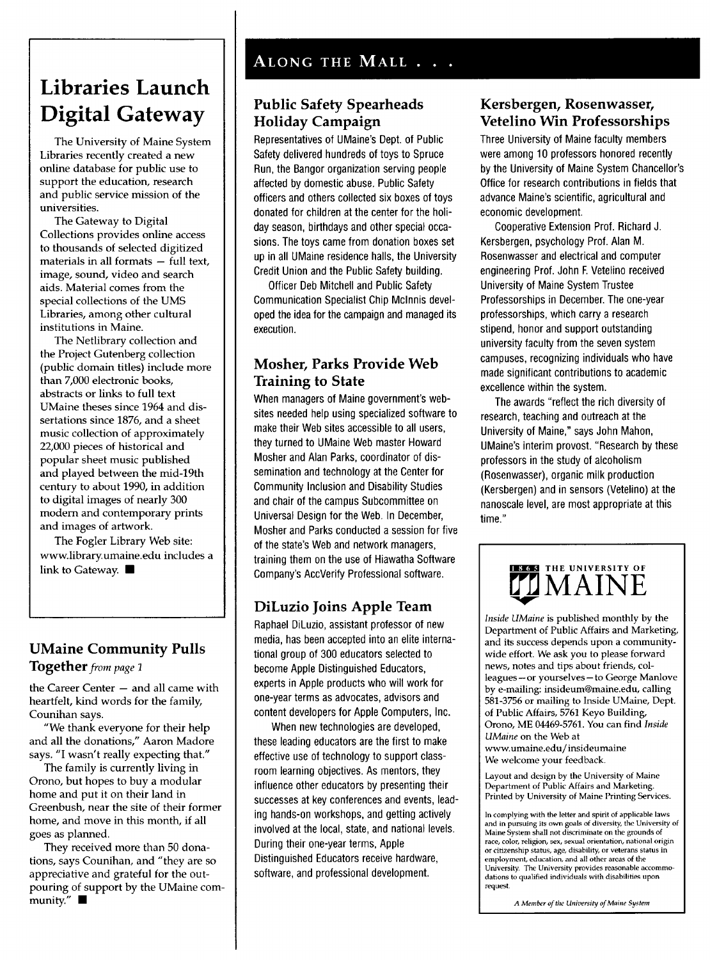# **Libraries Launch Digital Gateway**

The University of Maine System Libraries recently created a new online database for public use to support the education, research and public Service mission of the universities.

The Gateway to Digital Collections provides online access to thousands of selected digitized materials in all formats — full text, image, sound, video and search aids. Material comes from the special collections of the UMS Libraries, among other cultural institutions in Maine.

The Netlibrary collection and the Project Gutenberg collection (public domain titles) include more than 7,000 electronic books, abstracts or links to full text UMaine theses since 1964 and dissertations since 1876, and a sheet music collection of approximately 22,000 pieces of historical and popular sheet music published and played between the mid-19th Century to about 1990, in addition to digital images of nearly 300 modern and Contemporary prints and images of artwork.

The Fogler Library Web site: [www.library.umaine.edu](http://www.library.umaine.edu) includes a link to Gateway. ■

### **UMaine Community Pulls**

**Together***from page* <sup>1</sup>

the Career Center — and all came with heartfelt, kind words for the family, Counihan says.

"We thank everyone for their help and all the donations," Aaron Madore says. "I wasn't really expecting that."

The family is currently living in Orono, but hopes to buy a modular home and put it on their land in Greenbush, near the site of their former home, and move in this month, if all goes as planned.

They received more than 50 donations, says Counihan, and "they are so appreciative and grateful for the outpouring of support by the UMaine com $m$ unity."

#### **Public Safety Spearheads Holiday Campaign**

Representatives of UMaine's Dept. of Public Safety delivered hundreds of toys to Spruce Run, the Bangor Organization serving people affected by domestic abuse. Public Safety officers and others collected six boxes of toys donated for children at the center for the holiday season, birthdays and other special occasions. The toys came from donation boxes set up in all UMaine residence halls, the University Credit Union and the Public Safety building.

Officer Deb Mitchell and Public Safety Communication Specialist Chip McInnis developed the idea for the campaign and managed its execution.

#### **Mosher, Parks Provide Web Training to State**

When managers of Maine government's websites needed help using specialized Software to make their Web sites accessible to all users, they turned to UMaine Web master Howard Mosher and Alan Parks, coordinator of dissemination and technology at the Center for Community Inclusion and Disability Studies and chair of the campus Subcommittee on Universal Design for the Web. In December, Mosher and Parks conducted a session for five of the state's Web and network managers, training them on the use of Hiawatha Software Company's AccVerify Professional Software.

### **DiLuzio Joins Apple Team**

Raphael DiLuzio, assistant professor of new media, has been accepted into an elite international group of 300 educators selected to become Apple Distinguished Educators, experts in Apple products who will work for one-year terms as advocates, advisors and content developers for Apple Computers, Inc.

When new technologies are developed, these leading educators are the first to make effective use of technology to support classroom learning objectives. As mentors, they influence other educators by presenting their successes at key conferences and events, leading hands-on workshops, and getting actively involved at the local, state, and national levels. During their one-year terms, Apple Distinguished Educators receive hardware, software, and professional development.

### **Kersbergen, Rosenwasser, Vetelino Win Professorships**

Three University of Maine faculty members were among 10 professors honored recently by the University of Maine System Chancellor's Office for research contributions in fields that advance Maine's scientific, agricultural and economic development.

Cooperative Extension Prof. Richard J. Kersbergen, psychology Prof. Alan M. Rosenwasser and electrical and Computer engineering Prof. John F. Vetelino received University of Maine System Trustee Professorships in December. The one-year professorships, which carry a research stipend, honor and support outstanding university faculty from the seven System campuses, recognizing individuals who have made significant contributions to academic excellence within the System.

The awards "reflect the rich diversity of research, teaching and outreach at the University of Maine," says John Mahon, UMaine'<sup>s</sup> interim provost. "Research by these professors in the study of alcoholism (Rosenwasser), organic milk production (Kersbergen) and in sensors (Vetelino) at the nanoscale level, are most appropriate at this time."



*Inside UMaine* is published monthly by the Department of Public Affairs and Marketing, and its success depends upon a communitywide effort. We ask you to please forward news, notes and tips about friends, colleagues — or yourselves — to George Manlove by e-mailing: [insideum@maine.edu](mailto:insideum@maine.edu), calling 581-3756 or mailing to Inside UMaine, Dept. of Public Affairs, 5761 Keyo Building, Orono, ME 04469-5761. You can find *Inside UMaine* on the Web at [www.umaine.edu/insideumaine](http://www.umaine.edu/insideumaine) We welcome your feedback.

Layout and design by the University of Maine Department of Public Affairs and Marketing. Printed by University of Maine Printing Services.

In complying with the letter and spirit of applicable laws and in pursuing its own goals of diversity, the University of Maine System shall not discriminate on the grounds of race, color, religion, sex, sexual orientation, national origin<br>or citizenship status, age, disability, or veterans status in<br>employment, education, and all other areas of the University. The University provides reasonable accommodations to qualified individuals with disabilities upon request.

*A Member ofthe University ofMaine System*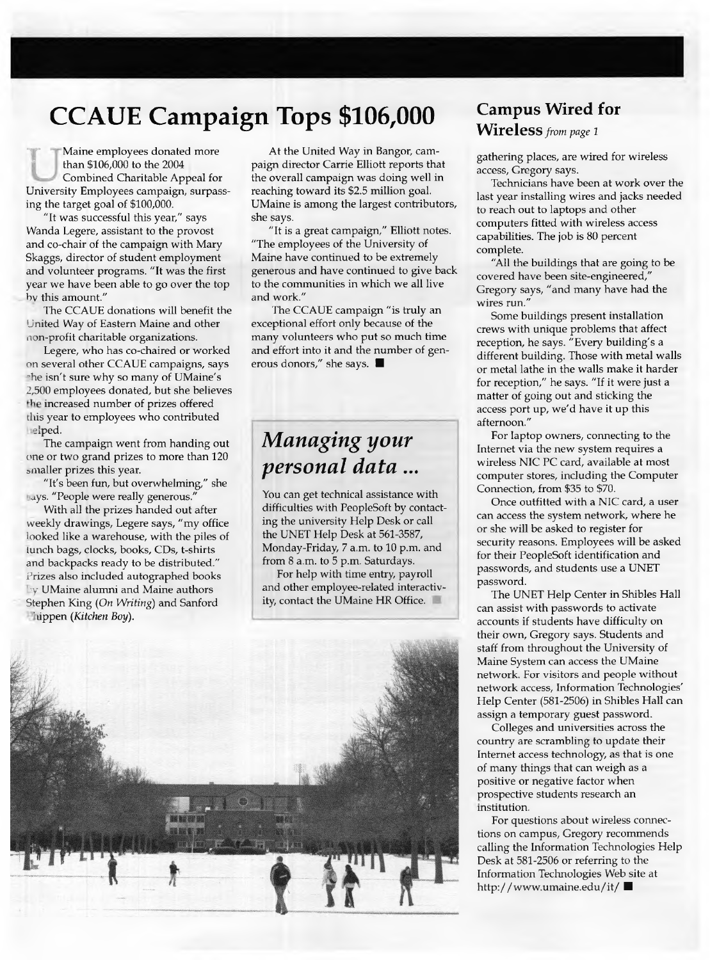# **CCAUE Campaign Tops \$106,000**

than \$106,000 to the 2004<br>
Combined Charitable Appeal for<br>
University Employees campaign, surpass-Maine employees donated more than \$106,000 to the 2004 Combined Charitable Appeal for ing the target goal of \$100,000.

"It was successful this year," says Wanda Legere, assistant to the provost and co-chair of the campaign with Mary Skaggs, director of Student employment and volunteer programs. "It was the first year we have been able to go over the top by this amount."

The CCAUE donations will benefit the United Way of Eastern Maine and other non-profit charitable organizations.

Legere, who has co-chaired or worked on several other CCAUE campaigns, says the isn't sure why so many of UMaine's 2,500 employees donated, but she believes the increased number of prizes offered this year to employees who contributed helped.

The campaign went from handing out one or two grand prizes to more than 120 smaller prizes this year.

"It's been fun, but overwhelming," she hays. "People were really generous."

With all the prizes handed out after weekly drawings, Legere says, "my office looked like a warehouse, with the piles of lunch bags, clocks, books, CDs, t-shirts and backpacks ready to be distributed." Prizes also included autographed books by UMaine alumni and Maine authors Stephen King *(On Writing)* and Sanford Phippen *(Kitchen Boy).*

At the United Way in Bangor, campaign director Carrie Elliott reports that the Overall campaign was doing well in reaching toward its \$2.5 million goal. UMaine is among the largest contributors, she says.

"It is a great campaign," Elliott notes. "The employees of the University of Maine have continued to be extremely generous and have continued to give back to the communities in which we all live and work."

The CCAUE campaign "is truly an exceptional effort only because of the many volunteers who put so much time and effort into it and the number of generous donors," she says. **B**

# *Managing your personal data...*

You can get technical assistance with difficulties with PeopleSoft by contacting the university Help Desk or call the UNET Help Desk at 561-3587, Monday-Friday, 7 a.m. to 10 p.m. and from 8 a.m. to 5 p.m. Saturdays.

For help with time entry, payroll and other employee-related interactivity, contact the UMaine HR Office.



### **Campus Wired for WireleSS***from page <sup>1</sup>*

gathering places, are wired for wireless access, Gregory says.

Technicians have been at work over the last year installing wires and jacks needed to reach out to laptops and other computers fitted with wireless access capabilities. The job is 80 percent complete.

"All the buildings that are going to be covered have been site-engineered," Gregory says, "and many have had the wires run."

Some buildings present installation crews with unique problems that affect reception, he says. "Every building's a different building. Those with metal walls or metal lathe in the walls make it harder for reception," he says. "If it were just a matter of going out and sticking the access port up, we'd have it up this afternoon."

For laptop owners, connecting to the Internet via the new System requires a wireless NIC PC card, available at most computer stores, including the Computer Connection, from \$35 to \$70.

Once outfitted with a NIC card, a user can access the system network, where he or she will be asked to register for security reasons. Employees will be asked for their PeopleSoft identification and passwords, and Students use a UNET password.

The UNET Help Center in Shibles Hall can assist with passwords to activate accounts if Students have difficulty on their own, Gregory says. Students and staff from throughout the University of Maine System can access the UMaine network. For visitors and people without network access, Information Technologies' Help Center (581-2506) in Shibles Hall can assign a temporary guest password.

Colleges and universities across the country are scrambling to update their Internet access technology, as that is one of many things that can weigh as a positive or negative factor when prospective students research an institution.

For questions about wireless connections on campus, Gregory recommends calling the Information Technologies Help Desk at 581-2506 or referring to the Information Technologies Web site at <http://www.umaine.edu/it/> **B**